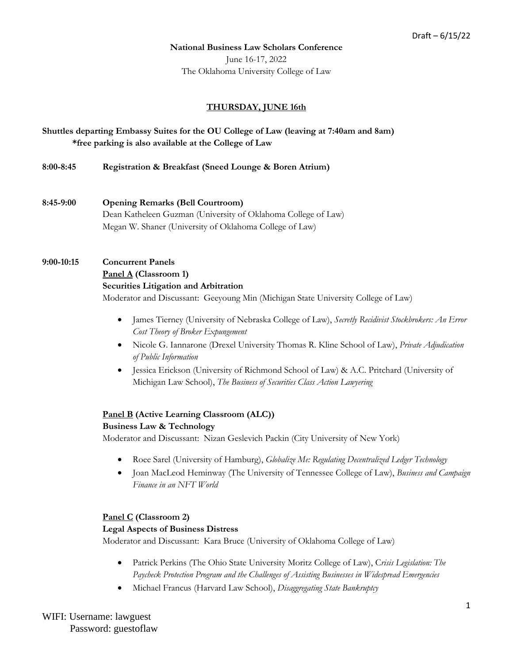#### **National Business Law Scholars Conference**

June 16-17, 2022 The Oklahoma University College of Law

#### **THURSDAY, JUNE 16th**

**Shuttles departing Embassy Suites for the OU College of Law (leaving at 7:40am and 8am) \*free parking is also available at the College of Law**

**8:00-8:45 Registration & Breakfast (Sneed Lounge & Boren Atrium)**

**8:45-9:00 Opening Remarks (Bell Courtroom)** Dean Katheleen Guzman (University of Oklahoma College of Law) Megan W. Shaner (University of Oklahoma College of Law)

## **9:00-10:15 Concurrent Panels Panel A (Classroom 1)**

#### **Securities Litigation and Arbitration**

Moderator and Discussant: Geeyoung Min (Michigan State University College of Law)

- James Tierney (University of Nebraska College of Law), *Secretly Recidivist Stockbrokers: An Error Cost Theory of Broker Expungement*
- Nicole G. Iannarone (Drexel University Thomas R. Kline School of Law), *Private Adjudication of Public Information*
- Jessica Erickson (University of Richmond School of Law) & A.C. Pritchard (University of Michigan Law School), *The Business of Securities Class Action Lawyering*

#### **Panel B (Active Learning Classroom (ALC))**

#### **Business Law & Technology**

Moderator and Discussant: Nizan Geslevich Packin (City University of New York)

- Roee Sarel (University of Hamburg), *Globalize Me: Regulating Decentralized Ledger Technology*
- Joan MacLeod Heminway (The University of Tennessee College of Law), *Business and Campaign Finance in an NFT World*

#### **Panel C (Classroom 2)**

#### **Legal Aspects of Business Distress**

Moderator and Discussant: Kara Bruce (University of Oklahoma College of Law)

- Patrick Perkins (The Ohio State University Moritz College of Law), C*risis Legislation: The Paycheck Protection Program and the Challenges of Assisting Businesses in Widespread Emergencies*
- Michael Francus (Harvard Law School), *Disaggregating State Bankruptcy*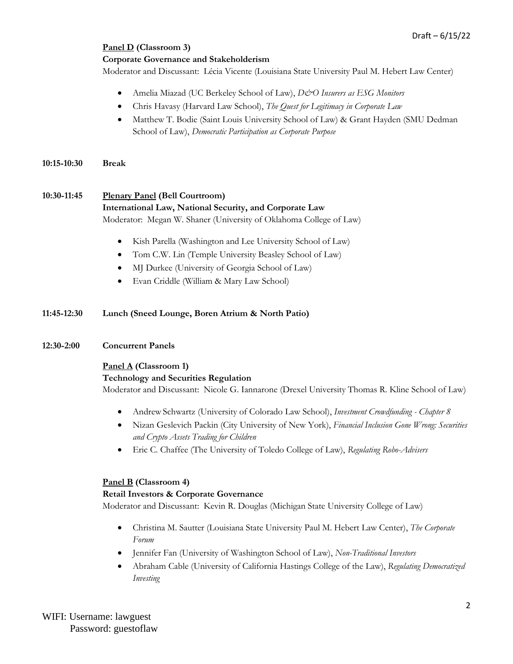# **Panel D (Classroom 3)**

#### **Corporate Governance and Stakeholderism**

Moderator and Discussant: Lécia Vicente (Louisiana State University Paul M. Hebert Law Center)

- Amelia Miazad (UC Berkeley School of Law), *D&O Insurers as ESG Monitors*
- Chris Havasy (Harvard Law School), *The Quest for Legitimacy in Corporate Law*
- Matthew T. Bodie (Saint Louis University School of Law) & Grant Hayden (SMU Dedman School of Law), *Democratic Participation as Corporate Purpose*
- **10:15-10:30 Break**

# **10:30-11:45 Plenary Panel (Bell Courtroom) International Law, National Security, and Corporate Law** Moderator: Megan W. Shaner (University of Oklahoma College of Law)

- Kish Parella (Washington and Lee University School of Law)
- Tom C.W. Lin (Temple University Beasley School of Law)
- MJ Durkee (University of Georgia School of Law)
- Evan Criddle (William & Mary Law School)

# **11:45-12:30 Lunch (Sneed Lounge, Boren Atrium & North Patio)**

#### **12:30-2:00 Concurrent Panels**

#### **Panel A (Classroom 1)**

#### **Technology and Securities Regulation**

Moderator and Discussant: Nicole G. Iannarone (Drexel University Thomas R. Kline School of Law)

- AndrewSchwartz (University of Colorado Law School), *Investment Crowdfunding - Chapter 8*
- Nizan Geslevich Packin (City University of New York), *Financial Inclusion Gone Wrong: Securities and Crypto Assets Trading for Children*
- Eric C. Chaffee (The University of Toledo College of Law), *Regulating Robo-Advisers*

#### **Panel B (Classroom 4)**

#### **Retail Investors & Corporate Governance**

Moderator and Discussant: Kevin R. Douglas (Michigan State University College of Law)

- Christina M. Sautter (Louisiana State University Paul M. Hebert Law Center), *The Corporate Forum*
- Jennifer Fan (University of Washington School of Law), *Non-Traditional Investors*
- Abraham Cable (University of California Hastings College of the Law), *Regulating Democratized Investing*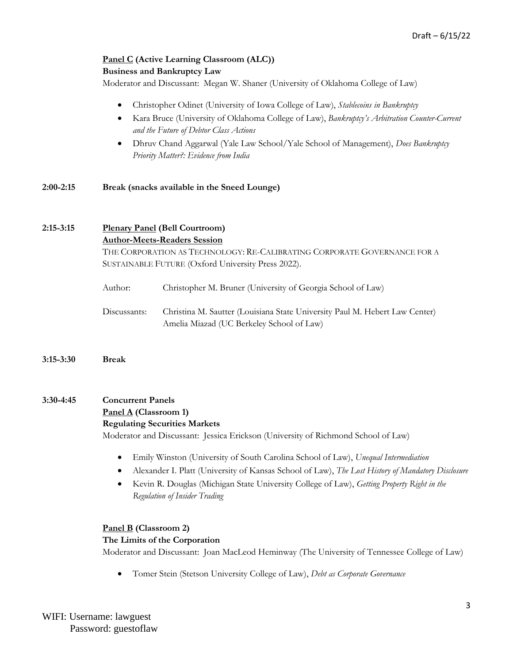# **Panel C (Active Learning Classroom (ALC)) Business and Bankruptcy Law**

Moderator and Discussant: Megan W. Shaner (University of Oklahoma College of Law)

- Christopher Odinet (University of Iowa College of Law), *Stablecoins in Bankruptcy*
- Kara Bruce (University of Oklahoma College of Law), *Bankruptcy's Arbitration Counter-Current and the Future of Debtor Class Actions*
- Dhruv Chand Aggarwal (Yale Law School/Yale School of Management), *Does Bankruptcy Priority Matter?: Evidence from India*

**2:00-2:15 Break (snacks available in the Sneed Lounge)**

## **2:15-3:15 Plenary Panel (Bell Courtroom) Author-Meets-Readers Session**

THE CORPORATION AS TECHNOLOGY: RE-CALIBRATING CORPORATE GOVERNANCE FOR A SUSTAINABLE FUTURE (Oxford University Press 2022).

| Author:      | Christopher M. Bruner (University of Georgia School of Law)                                                              |
|--------------|--------------------------------------------------------------------------------------------------------------------------|
| Discussants: | Christina M. Sautter (Louisiana State University Paul M. Hebert Law Center)<br>Amelia Miazad (UC Berkeley School of Law) |

**3:15-3:30 Break**

# **3:30-4:45 Concurrent Panels Panel A (Classroom 1)**

#### **Regulating Securities Markets**

Moderator and Discussant: Jessica Erickson (University of Richmond School of Law)

- Emily Winston (University of South Carolina School of Law), *Unequal Intermediation*
- Alexander I. Platt (University of Kansas School of Law), *The Lost History of Mandatory Disclosure*
- Kevin R. Douglas (Michigan State University College of Law), *Getting Property Right in the Regulation of Insider Trading*

# **Panel B (Classroom 2) The Limits of the Corporation** Moderator and Discussant: Joan MacLeod Heminway (The University of Tennessee College of Law)

• Tomer Stein (Stetson University College of Law), *Debt as Corporate Governance*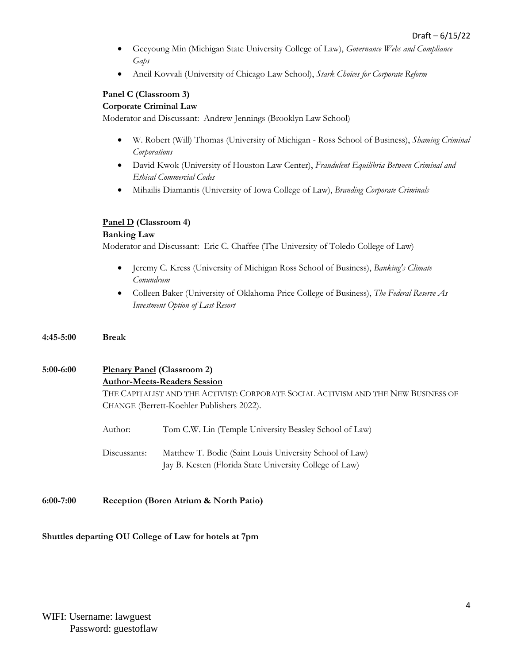- Geeyoung Min (Michigan State University College of Law), *Governance Webs and Compliance Gaps*
- Aneil Kovvali (University of Chicago Law School), *Stark Choices for Corporate Reform*

## **Panel C (Classroom 3)**

#### **Corporate Criminal Law**

Moderator and Discussant: Andrew Jennings (Brooklyn Law School)

- W. Robert (Will) Thomas (University of Michigan Ross School of Business), *Shaming Criminal Corporations*
- David Kwok (University of Houston Law Center), *Fraudulent Equilibria Between Criminal and Ethical Commercial Codes*
- Mihailis Diamantis (University of Iowa College of Law), *Branding Corporate Criminals*

#### **Panel D (Classroom 4)**

#### **Banking Law**

Moderator and Discussant: Eric C. Chaffee (The University of Toledo College of Law)

- Jeremy C. Kress (University of Michigan Ross School of Business), *Banking's Climate Conundrum*
- Colleen Baker (University of Oklahoma Price College of Business), *The Federal Reserve As Investment Option of Last Resort*
- **4:45-5:00 Break**

# **5:00-6:00 Plenary Panel (Classroom 2) Author-Meets-Readers Session** THE CAPITALIST AND THE ACTIVIST: CORPORATE SOCIAL ACTIVISM AND THE NEW BUSINESS OF CHANGE (Berrett-Koehler Publishers 2022). Author: Tom C.W. Lin (Temple University Beasley School of Law)

Discussants: Matthew T. Bodie (Saint Louis University School of Law) Jay B. Kesten (Florida State University College of Law)

**6:00-7:00 Reception (Boren Atrium & North Patio)**

#### **Shuttles departing OU College of Law for hotels at 7pm**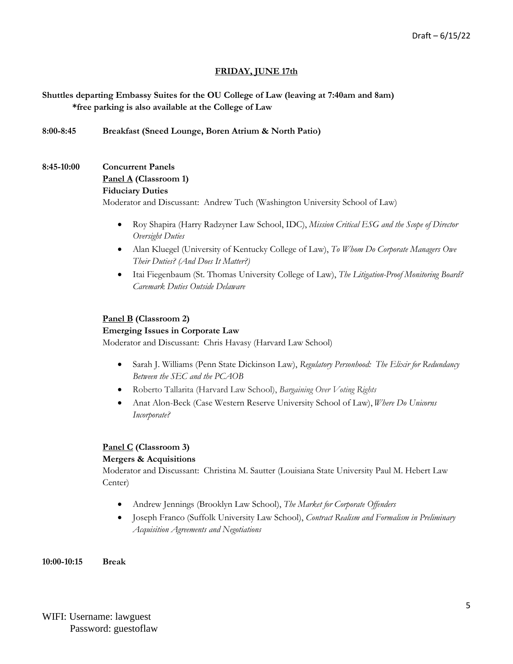# **FRIDAY, JUNE 17th**

**Shuttles departing Embassy Suites for the OU College of Law (leaving at 7:40am and 8am) \*free parking is also available at the College of Law**

**8:00-8:45 Breakfast (Sneed Lounge, Boren Atrium & North Patio)**

# **8:45-10:00 Concurrent Panels Panel A (Classroom 1) Fiduciary Duties** Moderator and Discussant: Andrew Tuch (Washington University School of Law)

- Roy Shapira (Harry Radzyner Law School, IDC), *Mission Critical ESG and the Scope of Director Oversight Duties*
- Alan Kluegel (University of Kentucky College of Law), *To Whom Do Corporate Managers Owe Their Duties? (And Does It Matter?)*
- Itai Fiegenbaum (St. Thomas University College of Law), *The Litigation-Proof Monitoring Board? Caremark Duties Outside Delaware*

## **Panel B (Classroom 2)**

#### **Emerging Issues in Corporate Law**

Moderator and Discussant: Chris Havasy (Harvard Law School)

- Sarah J. Williams (Penn State Dickinson Law), *Regulatory Personhood: The Elixir for Redundancy Between the SEC and the PCAOB*
- Roberto Tallarita (Harvard Law School), *Bargaining Over Voting Rights*
- Anat Alon-Beck (Case Western Reserve University School of Law), *Where Do Unicorns Incorporate?*

#### **Panel C (Classroom 3)**

#### **Mergers & Acquisitions**

Moderator and Discussant: Christina M. Sautter (Louisiana State University Paul M. Hebert Law Center)

- Andrew Jennings (Brooklyn Law School), *The Market for Corporate Offenders*
- Joseph Franco (Suffolk University Law School), *Contract Realism and Formalism in Preliminary Acquisition Agreements and Negotiations*

**10:00-10:15 Break**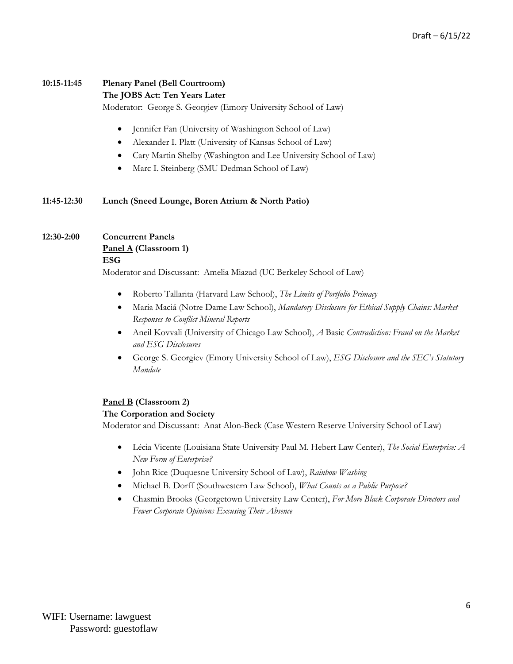# **10:15-11:45 Plenary Panel (Bell Courtroom)**

#### **The JOBS Act: Ten Years Later**

Moderator: George S. Georgiev (Emory University School of Law)

- Jennifer Fan (University of Washington School of Law)
- Alexander I. Platt (University of Kansas School of Law)
- Cary Martin Shelby (Washington and Lee University School of Law)
- Marc I. Steinberg (SMU Dedman School of Law)

#### **11:45-12:30 Lunch (Sneed Lounge, Boren Atrium & North Patio)**

## **12:30-2:00 Concurrent Panels**

**Panel A (Classroom 1) ESG**

Moderator and Discussant: Amelia Miazad (UC Berkeley School of Law)

- Roberto Tallarita (Harvard Law School), *The Limits of Portfolio Primacy*
- Maria Maciá (Notre Dame Law School), *Mandatory Disclosure for Ethical Supply Chains: Market Responses to Conflict Mineral Reports*
- Aneil Kovvali (University of Chicago Law School), *A* Basic *Contradiction: Fraud on the Market and ESG Disclosures*
- George S. Georgiev (Emory University School of Law), *ESG Disclosure and the SEC's Statutory Mandate*

#### **Panel B (Classroom 2)**

#### **The Corporation and Society**

Moderator and Discussant: Anat Alon-Beck (Case Western Reserve University School of Law)

- Lécia Vicente (Louisiana State University Paul M. Hebert Law Center), *The Social Enterprise: A New Form of Enterprise?*
- John Rice (Duquesne University School of Law), *Rainbow Washing*
- Michael B. Dorff (Southwestern Law School), *What Counts as a Public Purpose?*
- Chasmin Brooks (Georgetown University Law Center), *For More Black Corporate Directors and Fewer Corporate Opinions Excusing Their Absence*